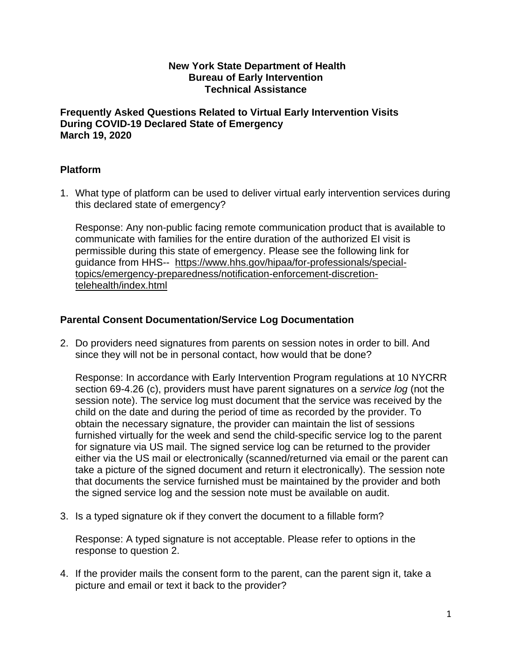#### **New York State Department of Health Bureau of Early Intervention Technical Assistance**

**Frequently Asked Questions Related to Virtual Early Intervention Visits During COVID-19 Declared State of Emergency March 19, 2020**

# **Platform**

1. What type of platform can be used to deliver virtual early intervention services during this declared state of emergency?

Response: Any non-public facing remote communication product that is available to communicate with families for the entire duration of the authorized EI visit is permissible during this state of emergency. Please see the following link for guidance from HHS-- https://www.hhs.gov/hipaa/for-professionals/specialtopics/emergency-preparedness/notification-enforcement-discretiontelehealth/index.html

# **Parental Consent Documentation/Service Log Documentation**

2. Do providers need signatures from parents on session notes in order to bill. And since they will not be in personal contact, how would that be done?

Response: In accordance with Early Intervention Program regulations at 10 NYCRR section 69-4.26 (c), providers must have parent signatures on a *service log* (not the session note). The service log must document that the service was received by the child on the date and during the period of time as recorded by the provider. To obtain the necessary signature, the provider can maintain the list of sessions furnished virtually for the week and send the child-specific service log to the parent for signature via US mail. The signed service log can be returned to the provider either via the US mail or electronically (scanned/returned via email or the parent can take a picture of the signed document and return it electronically). The session note that documents the service furnished must be maintained by the provider and both the signed service log and the session note must be available on audit.

3. Is a typed signature ok if they convert the document to a fillable form?

Response: A typed signature is not acceptable. Please refer to options in the response to question 2.

4. If the provider mails the consent form to the parent, can the parent sign it, take a picture and email or text it back to the provider?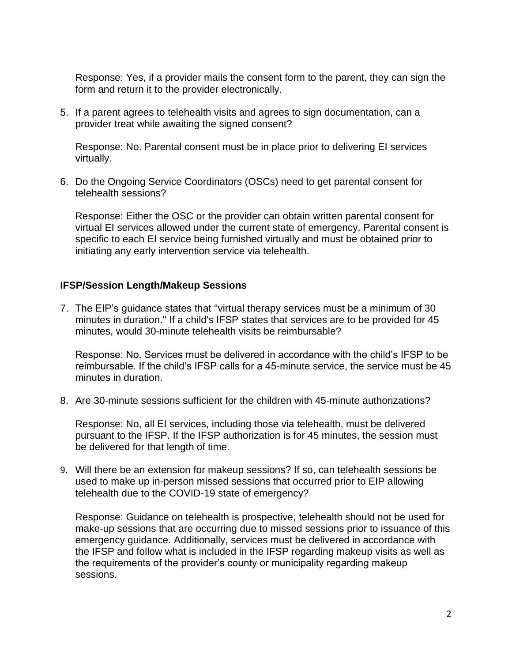Response: Yes, if a provider mails the consent form to the parent, they can sign the form and return it to the provider electronically.

5. If a parent agrees to telehealth visits and agrees to sign documentation, can a provider treat while awaiting the signed consent?

Response: No. Parental consent must be in place prior to delivering EI services virtually.

6. Do the Ongoing Service Coordinators (OSCs) need to get parental consent for telehealth sessions?

Response: Either the OSC or the provider can obtain written parental consent for virtual EI services allowed under the current state of emergency. Parental consent is specific to each EI service being furnished virtually and must be obtained prior to initiating any early intervention service via telehealth.

### **IFSP/Session Length/Makeup Sessions**

7. The EIP's guidance states that "virtual therapy services must be a minimum of 30 minutes in duration." If a child's IFSP states that services are to be provided for 45 minutes, would 30-minute telehealth visits be reimbursable?

Response: No. Services must be delivered in accordance with the child's IFSP to be reimbursable. If the child's IFSP calls for a 45-minute service, the service must be 45 minutes in duration.

8. Are 30-minute sessions sufficient for the children with 45-minute authorizations?

Response: No, all EI services, including those via telehealth, must be delivered pursuant to the IFSP. If the IFSP authorization is for 45 minutes, the session must be delivered for that length of time.

9. Will there be an extension for makeup sessions? If so, can telehealth sessions be used to make up in-person missed sessions that occurred prior to EIP allowing telehealth due to the COVID-19 state of emergency?

Response: Guidance on telehealth is prospective, telehealth should not be used for make-up sessions that are occurring due to missed sessions prior to issuance of this emergency guidance. Additionally, services must be delivered in accordance with the IFSP and follow what is included in the IFSP regarding makeup visits as well as the requirements of the provider's county or municipality regarding makeup sessions.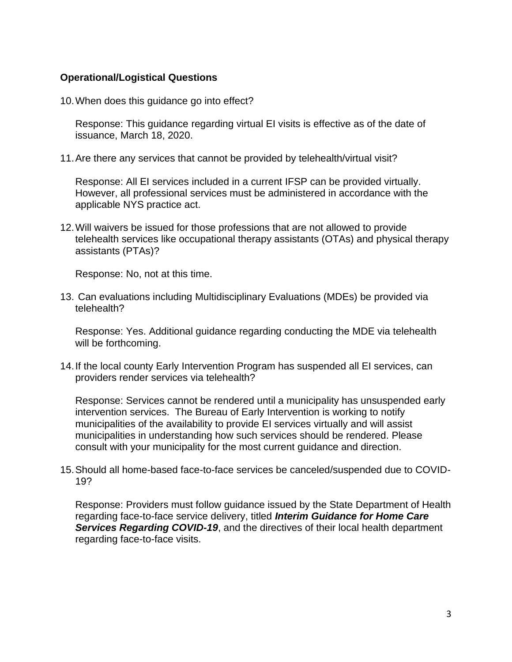#### **Operational/Logistical Questions**

10.When does this guidance go into effect?

Response: This guidance regarding virtual EI visits is effective as of the date of issuance, March 18, 2020.

11.Are there any services that cannot be provided by telehealth/virtual visit?

Response: All EI services included in a current IFSP can be provided virtually. However, all professional services must be administered in accordance with the applicable NYS practice act.

12.Will waivers be issued for those professions that are not allowed to provide telehealth services like occupational therapy assistants (OTAs) and physical therapy assistants (PTAs)?

Response: No, not at this time.

13. Can evaluations including Multidisciplinary Evaluations (MDEs) be provided via telehealth?

Response: Yes. Additional guidance regarding conducting the MDE via telehealth will be forthcoming.

14.If the local county Early Intervention Program has suspended all EI services, can providers render services via telehealth?

Response: Services cannot be rendered until a municipality has unsuspended early intervention services. The Bureau of Early Intervention is working to notify municipalities of the availability to provide EI services virtually and will assist municipalities in understanding how such services should be rendered. Please consult with your municipality for the most current guidance and direction.

15.Should all home-based face-to-face services be canceled/suspended due to COVID-19?

Response: Providers must follow guidance issued by the State Department of Health regarding face-to-face service delivery, titled *Interim Guidance for Home Care Services Regarding COVID-19*, and the directives of their local health department regarding face-to-face visits.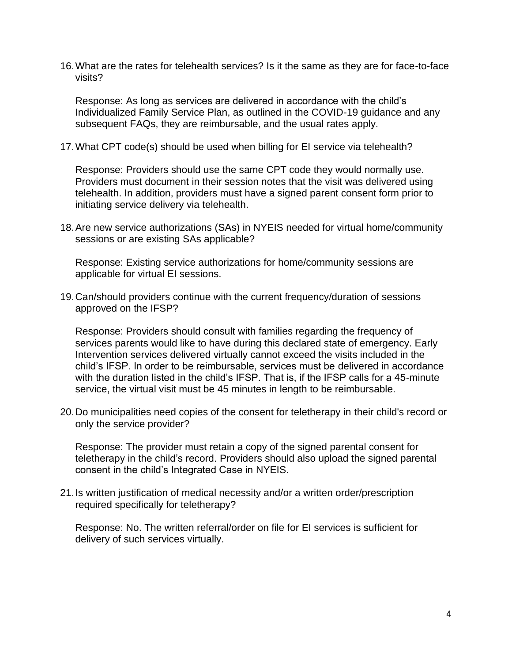16.What are the rates for telehealth services? Is it the same as they are for face-to-face visits?

Response: As long as services are delivered in accordance with the child's Individualized Family Service Plan, as outlined in the COVID-19 guidance and any subsequent FAQs, they are reimbursable, and the usual rates apply.

17.What CPT code(s) should be used when billing for EI service via telehealth?

Response: Providers should use the same CPT code they would normally use. Providers must document in their session notes that the visit was delivered using telehealth. In addition, providers must have a signed parent consent form prior to initiating service delivery via telehealth.

18.Are new service authorizations (SAs) in NYEIS needed for virtual home/community sessions or are existing SAs applicable?

Response: Existing service authorizations for home/community sessions are applicable for virtual EI sessions.

19.Can/should providers continue with the current frequency/duration of sessions approved on the IFSP?

Response: Providers should consult with families regarding the frequency of services parents would like to have during this declared state of emergency. Early Intervention services delivered virtually cannot exceed the visits included in the child's IFSP. In order to be reimbursable, services must be delivered in accordance with the duration listed in the child's IFSP. That is, if the IFSP calls for a 45-minute service, the virtual visit must be 45 minutes in length to be reimbursable.

20.Do municipalities need copies of the consent for teletherapy in their child's record or only the service provider?

Response: The provider must retain a copy of the signed parental consent for teletherapy in the child's record. Providers should also upload the signed parental consent in the child's Integrated Case in NYEIS.

21.Is written justification of medical necessity and/or a written order/prescription required specifically for teletherapy?

Response: No. The written referral/order on file for EI services is sufficient for delivery of such services virtually.